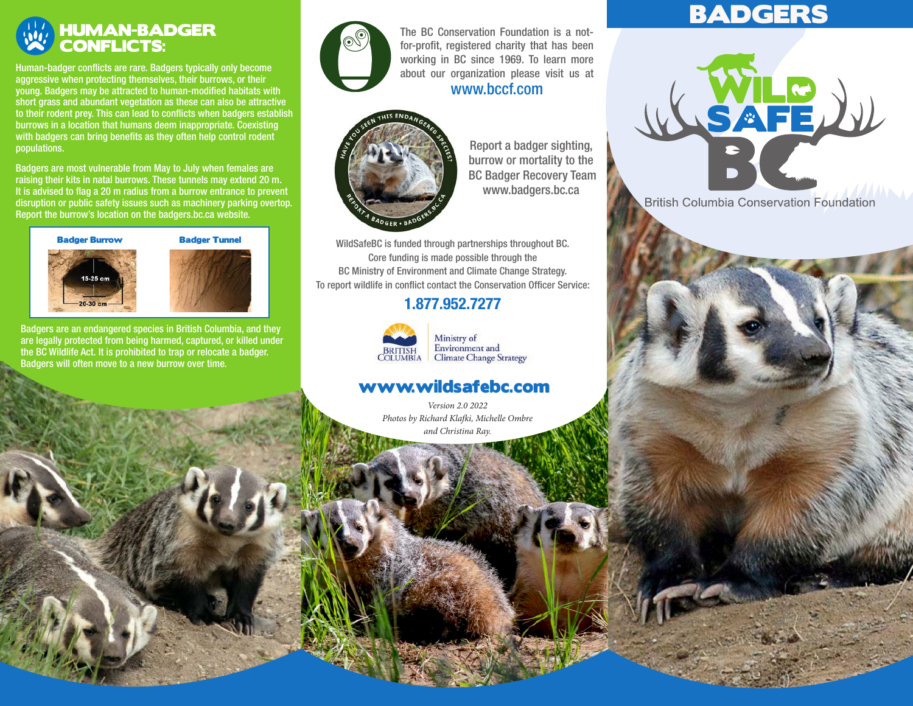# HUMAN-BADGER CONFLICTS:

Human-badger conflicts are rare. Badgers typically only become aggressive when protecting themselves, their burrows, or their young. Badgers may be attracted to human-modified habitats with short grass and abundant vegetation as these can also be attractive to their rodent prey. This can lead to conflicts when badgers establish burrows in a location that humans deem inappropriate. Coexisting with badgers can bring benefits as they often help control rodent populations.

Badgers are most vulnerable from May to July when females are raising their kits in natal burrows. These tunnels may extend 20 m. It is advised to flag a 20 m radius from a burrow entrance to prevent disruption or public safety issues such as machinery parking overtop. Report the burrow's location on the badgers.bc.ca website.



Badgers are an endangered species in British Columbia, and they are legally protected from being harmed, captured, or killed under the BC Wildlife Act. It is prohibited to trap or relocate a badger. Badgers will often move to a new burrow over time.



for-profit, registered charity that has been working in BC since 1969. To learn more The BC Conservation Foundation is a notabout our organization please visit us at

#### www.bccf.com



Report a badger sighting, burrow or mortality to the BC Badger Recovery Team www.badgers.bc.ca

WildSafeBC is funded through partnerships throughout BC. Core funding is made possible through the BC Ministry of Environment and Climate Change Strategy. To report wildlife in conflict contact the Conservation Officer Service:

## 1.877.952.7277



Ministry of Environment and **Climate Change Strategy** 

## www.wildsafebc.com

*Version 2.0 2022 Photos by Richard Klafki, Michelle Ombre and Christina Ray.*

# BADGERS



**British Columbia Conservation Foundation**